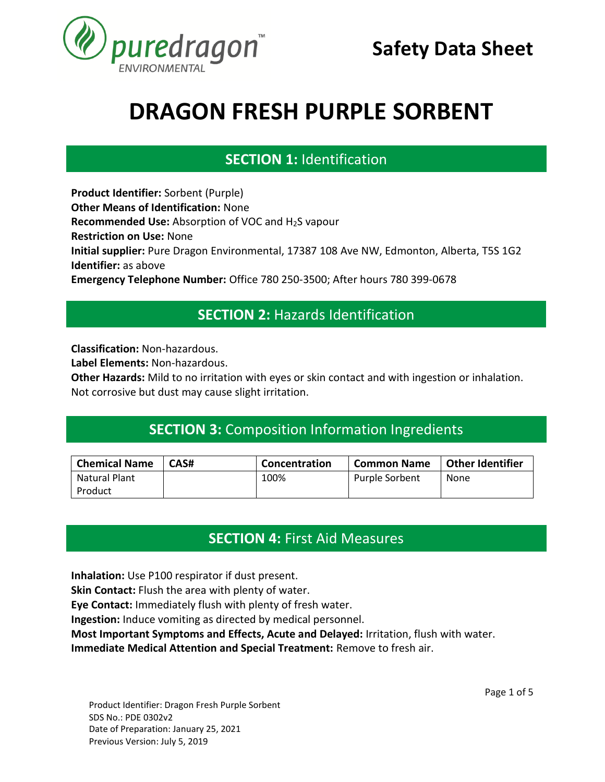

### **SECTION 1:** Identification **SECTION 1. IDENTIFICATION**

**Product Identifier:** Sorbent (Purple) **Other Means of Identification:** None **Recommended Use:** Absorption of VOC and H<sub>2</sub>S vapour **Restriction on Use:** None **Initial supplier:** Pure Dragon Environmental, 17387 108 Ave NW, Edmonton, Alberta, T5S 1G2 **Identifier:** as above **Emergency Telephone Number:** Office 780 250-3500; After hours 780 399-0678 **SECTION 1. IDENTIFICATION**

#### **SECTION 2:** Hazards Identification **SECTION 1. IDENTIFICATION**

**Classification:** Non-hazardous.

**Label Elements:** Non-hazardous.

**Other Hazards:** Mild to no irritation with eyes or skin contact and with ingestion or inhalation. Not corrosive but dust may cause slight irritation.

#### **SECTION 3:** Composition Information Ingredients **SECTION 1. IDENTIFICATION**

| <b>Chemical Name</b> | CAS# | Concentration | <b>Common Name</b> | <b>Other Identifier</b> |
|----------------------|------|---------------|--------------------|-------------------------|
| Natural Plant        |      | 100%          | Purple Sorbent     | None                    |
| Product              |      |               |                    |                         |

## **SECTION 4:** First Aid Measures **SECTION 1. IDENTIFICATION**

**Inhalation:** Use P100 respirator if dust present.

**Skin Contact:** Flush the area with plenty of water.

**Eye Contact:** Immediately flush with plenty of fresh water.

**Ingestion:** Induce vomiting as directed by medical personnel.

**Most Important Symptoms and Effects, Acute and Delayed:** Irritation, flush with water.

**Immediate Medical Attention and Special Treatment:** Remove to fresh air.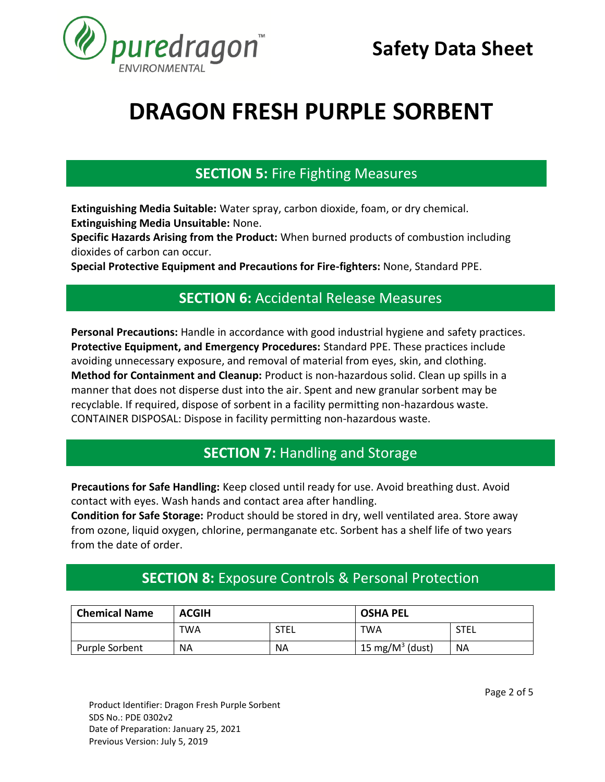

### **SECTION 5:** Fire Fighting Measures **SECTION 1. IDENTIFICATION**

**Extinguishing Media Suitable:** Water spray, carbon dioxide, foam, or dry chemical. **Extinguishing Media Unsuitable:** None.

**Specific Hazards Arising from the Product:** When burned products of combustion including dioxides of carbon can occur.

**Special Protective Equipment and Precautions for Fire-fighters:** None, Standard PPE.

### **SECTION 6:** Accidental Release Measures **SECTION 1. IDENTIFICATION**

**Personal Precautions:** Handle in accordance with good industrial hygiene and safety practices. **Protective Equipment, and Emergency Procedures:** Standard PPE. These practices include avoiding unnecessary exposure, and removal of material from eyes, skin, and clothing. **Method for Containment and Cleanup:** Product is non-hazardous solid. Clean up spills in a manner that does not disperse dust into the air. Spent and new granular sorbent may be recyclable. If required, dispose of sorbent in a facility permitting non-hazardous waste. CONTAINER DISPOSAL: Dispose in facility permitting non-hazardous waste.

#### **SECTION 7: Handling and Storage SECTION 1. IDENTIFICATION**

Precautions for Safe Handling: Keep closed until ready for use. Avoid breathing dust. Avoid contact with eyes. Wash hands and contact area after handling.

**Condition for Safe Storage:** Product should be stored in dry, well ventilated area. Store away from ozone, liquid oxygen, chlorine, permanganate etc. Sorbent has a shelf life of two years from the date of order.

### **SECTION 8:** Exposure Controls & Personal Protection **SECTION 1. IDENTIFICATION**

| <b>Chemical Name</b> | <b>ACGIH</b> |      | <b>OSHA PEL</b>     |           |
|----------------------|--------------|------|---------------------|-----------|
|                      | TWA          | STEL | TWA                 | STEL      |
| Purple Sorbent       | <b>NA</b>    | ΝA   | 15 mg/ $M^3$ (dust) | <b>NA</b> |

Product Identifier: Dragon Fresh Purple Sorbent SDS No.: PDE 0302v2 Date of Preparation: January 25, 2021 Previous Version: July 5, 2019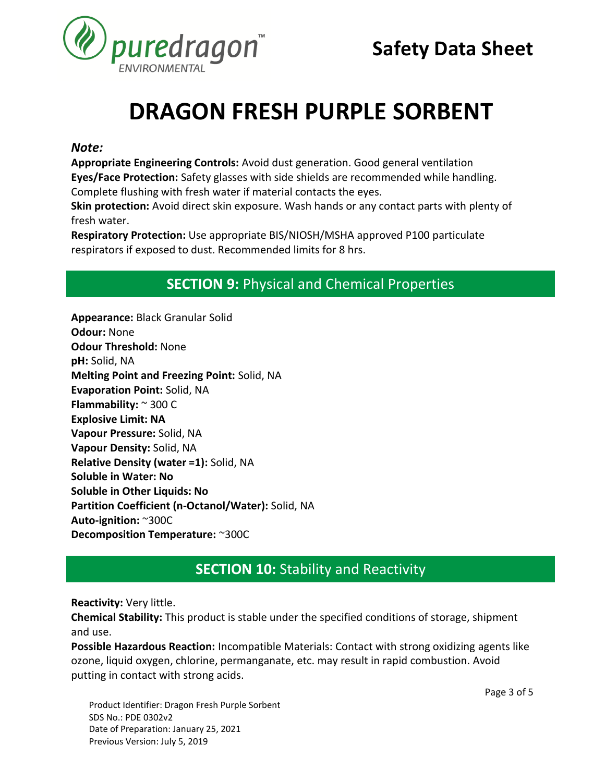

#### *Note:*

**Appropriate Engineering Controls:** Avoid dust generation. Good general ventilation **Eyes/Face Protection:** Safety glasses with side shields are recommended while handling. Complete flushing with fresh water if material contacts the eyes.

**Skin protection:** Avoid direct skin exposure. Wash hands or any contact parts with plenty of fresh water.

**Respiratory Protection:** Use appropriate BIS/NIOSH/MSHA approved P100 particulate respirators if exposed to dust. Recommended limits for 8 hrs.

## **SECTION 9:** Physical and Chemical Properties **SECTION 1. IDENTIFICATION**

**Appearance:** Black Granular Solid **Odour:** None **Odour Threshold:** None **pH:** Solid, NA **Melting Point and Freezing Point:** Solid, NA **Evaporation Point:** Solid, NA **Flammability:** ~ 300 C **Explosive Limit: NA Vapour Pressure:** Solid, NA **Vapour Density:** Solid, NA **Relative Density (water =1):** Solid, NA **Soluble in Water: No Soluble in Other Liquids: No Partition Coefficient (n-Octanol/Water):** Solid, NA **Auto-ignition:** ~300C **Decomposition Temperature:** ~300C

#### **SECTION 10:** Stability and Reactivity **SECTION 1. IDENTIFICATION**

**Reactivity:** Very little.

**Chemical Stability:** This product is stable under the specified conditions of storage, shipment and use.

**Possible Hazardous Reaction:** Incompatible Materials: Contact with strong oxidizing agents like ozone, liquid oxygen, chlorine, permanganate, etc. may result in rapid combustion. Avoid putting in contact with strong acids.

Product Identifier: Dragon Fresh Purple Sorbent SDS No.: PDE 0302v2 Date of Preparation: January 25, 2021 Previous Version: July 5, 2019

Page 3 of 5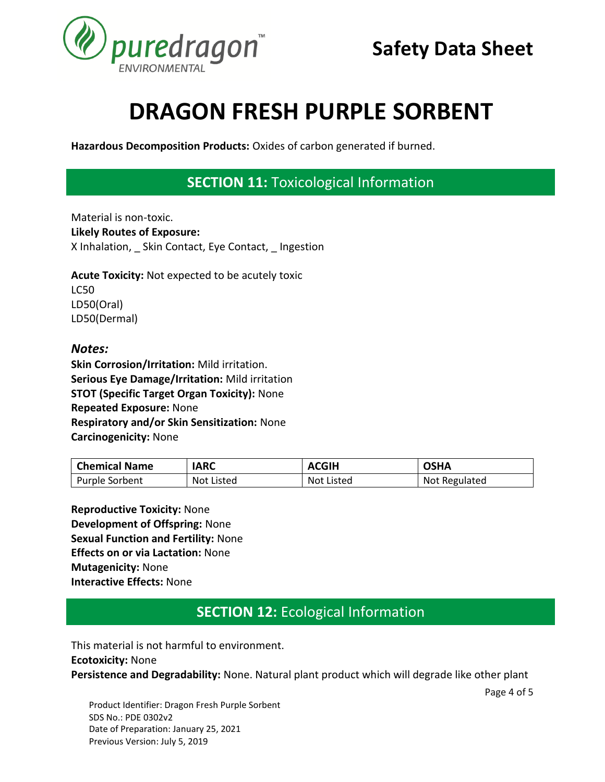

**Hazardous Decomposition Products:** Oxides of carbon generated if burned.

## **SECTION 11:** Toxicological Information **SECTION 1. IDENTIFICATION**

Material is non-toxic. **Likely Routes of Exposure:**  X Inhalation, Skin Contact, Eye Contact, Ingestion

**Acute Toxicity:** Not expected to be acutely toxic LC50 LD50(Oral) LD50(Dermal)

#### *Notes:*

**Skin Corrosion/Irritation:** Mild irritation. **Serious Eye Damage/Irritation:** Mild irritation **STOT (Specific Target Organ Toxicity):** None **Repeated Exposure:** None **Respiratory and/or Skin Sensitization:** None **Carcinogenicity:** None

| <b>Chemical Name</b> | <b>IARC</b> | <b>ACGIH</b> | <b>OSHA</b>   |
|----------------------|-------------|--------------|---------------|
| Purple Sorbent       | Not Listed  | Not Listed   | Not Regulated |

**Reproductive Toxicity:** None **Development of Offspring:** None **Sexual Function and Fertility:** None **Effects on or via Lactation:** None **Mutagenicity:** None **Interactive Effects:** None

### **SECTION 12:** Ecological Information **SECTION 1. IDENTIFICATION**

This material is not harmful to environment. **Ecotoxicity:** None **Persistence and Degradability:** None. Natural plant product which will degrade like other plant

Page 4 of 5

Product Identifier: Dragon Fresh Purple Sorbent SDS No.: PDE 0302v2 Date of Preparation: January 25, 2021 Previous Version: July 5, 2019